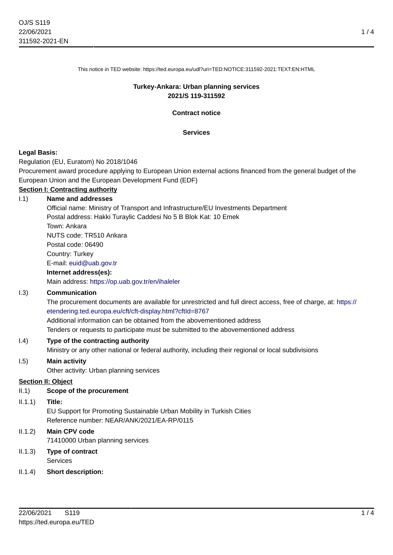This notice in TED website: https://ted.europa.eu/udl?uri=TED:NOTICE:311592-2021:TEXT:EN:HTML

#### **Turkey-Ankara: Urban planning services 2021/S 119-311592**

**Contract notice**

#### **Services**

#### **Legal Basis:**

Regulation (EU, Euratom) No 2018/1046

Procurement award procedure applying to European Union external actions financed from the general budget of the European Union and the European Development Fund (EDF)

# **Section I: Contracting authority**

# I.1) **Name and addresses** Official name: Ministry of Transport and Infrastructure/EU Investments Department Postal address: Hakki Turaylic Caddesi No 5 B Blok Kat: 10 Emek Town: Ankara NUTS code: TR510 Ankara Postal code: 06490 Country: Turkey E-mail: [euid@uab.gov.tr](mailto:euid@uab.gov.tr)

# **Internet address(es):**

Main address:<https://op.uab.gov.tr/en/ihaleler>

#### I.3) **Communication**

The procurement documents are available for unrestricted and full direct access, free of charge, at: [https://](https://etendering.ted.europa.eu/cft/cft-display.html?cftId=8767) [etendering.ted.europa.eu/cft/cft-display.html?cftId=8767](https://etendering.ted.europa.eu/cft/cft-display.html?cftId=8767)

Additional information can be obtained from the abovementioned address

Tenders or requests to participate must be submitted to the abovementioned address

#### I.4) **Type of the contracting authority**

Ministry or any other national or federal authority, including their regional or local subdivisions

#### I.5) **Main activity**

Other activity: Urban planning services

#### **Section II: Object**

#### II.1) **Scope of the procurement**

II.1.1) **Title:**

EU Support for Promoting Sustainable Urban Mobility in Turkish Cities Reference number: NEAR/ANK/2021/EA-RP/0115

# II.1.2) **Main CPV code** 71410000 Urban planning services

II.1.3) **Type of contract** Services

#### II.1.4) **Short description:**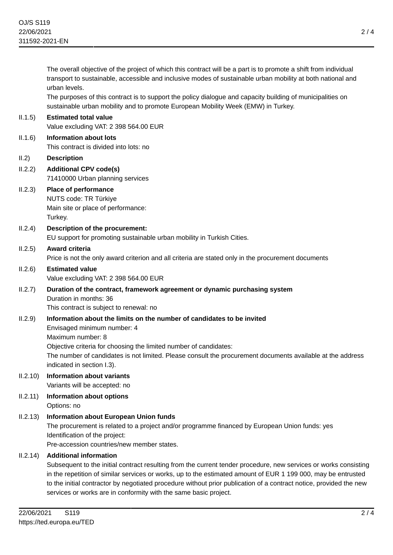The overall objective of the project of which this contract will be a part is to promote a shift from individual transport to sustainable, accessible and inclusive modes of sustainable urban mobility at both national and urban levels. The purposes of this contract is to support the policy dialogue and capacity building of municipalities on sustainable urban mobility and to promote European Mobility Week (EMW) in Turkey. II.1.5) **Estimated total value** Value excluding VAT: 2 398 564.00 EUR II.1.6) **Information about lots** This contract is divided into lots: no II.2) **Description** II.2.2) **Additional CPV code(s)** 71410000 Urban planning services II.2.3) **Place of performance** NUTS code: TR Türkiye Main site or place of performance: Turkey. II.2.4) **Description of the procurement:** EU support for promoting sustainable urban mobility in Turkish Cities. II.2.5) **Award criteria** Price is not the only award criterion and all criteria are stated only in the procurement documents II.2.6) **Estimated value** Value excluding VAT: 2 398 564.00 EUR II.2.7) **Duration of the contract, framework agreement or dynamic purchasing system** Duration in months: 36 This contract is subject to renewal: no II.2.9) **Information about the limits on the number of candidates to be invited** Envisaged minimum number: 4 Maximum number: 8 Objective criteria for choosing the limited number of candidates: The number of candidates is not limited. Please consult the procurement documents available at the address indicated in section I.3). II.2.10) **Information about variants** Variants will be accepted: no II.2.11) **Information about options** Options: no II.2.13) **Information about European Union funds** The procurement is related to a project and/or programme financed by European Union funds: yes Identification of the project: Pre-accession countries/new member states. II.2.14) **Additional information** Subsequent to the initial contract resulting from the current tender procedure, new services or works consisting in the repetition of similar services or works, up to the estimated amount of EUR 1 199 000, may be entrusted to the initial contractor by negotiated procedure without prior publication of a contract notice, provided the new

services or works are in conformity with the same basic project.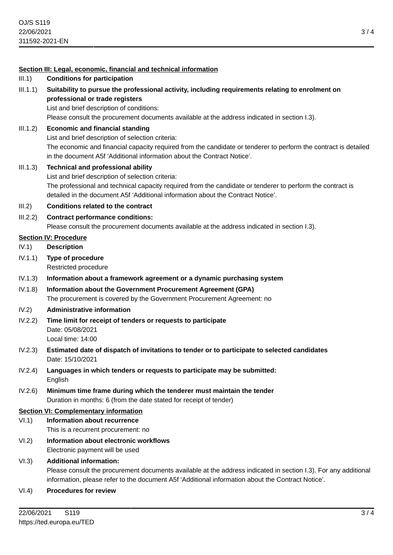#### **Section III: Legal, economic, financial and technical information**

- III.1) **Conditions for participation**
- III.1.1) **Suitability to pursue the professional activity, including requirements relating to enrolment on professional or trade registers**

List and brief description of conditions:

Please consult the procurement documents available at the address indicated in section I.3).

III.1.2) **Economic and financial standing** List and brief description of selection criteria:

> The economic and financial capacity required from the candidate or tenderer to perform the contract is detailed in the document A5f 'Additional information about the Contract Notice'.

- III.1.3) **Technical and professional ability** List and brief description of selection criteria: The professional and technical capacity required from the candidate or tenderer to perform the contract is detailed in the document A5f 'Additional information about the Contract Notice'.
- III.2) **Conditions related to the contract**
- III.2.2) **Contract performance conditions:**

Please consult the procurement documents available at the address indicated in section I.3).

#### **Section IV: Procedure**

IV.1) **Description**

- IV.1.1) **Type of procedure** Restricted procedure
- IV.1.3) **Information about a framework agreement or a dynamic purchasing system**
- IV.1.8) **Information about the Government Procurement Agreement (GPA)** The procurement is covered by the Government Procurement Agreement: no
- IV.2) **Administrative information**
- IV.2.2) **Time limit for receipt of tenders or requests to participate** Date: 05/08/2021 Local time: 14:00
- IV.2.3) **Estimated date of dispatch of invitations to tender or to participate to selected candidates** Date: 15/10/2021
- IV.2.4) **Languages in which tenders or requests to participate may be submitted:** English
- IV.2.6) **Minimum time frame during which the tenderer must maintain the tender** Duration in months: 6 (from the date stated for receipt of tender)

## **Section VI: Complementary information**

- VI.1) **Information about recurrence** This is a recurrent procurement: no
- VI.2) **Information about electronic workflows** Electronic payment will be used

# VI.3) **Additional information:**

Please consult the procurement documents available at the address indicated in section I.3). For any additional information, please refer to the document A5f 'Additional information about the Contract Notice'.

VI.4) **Procedures for review**